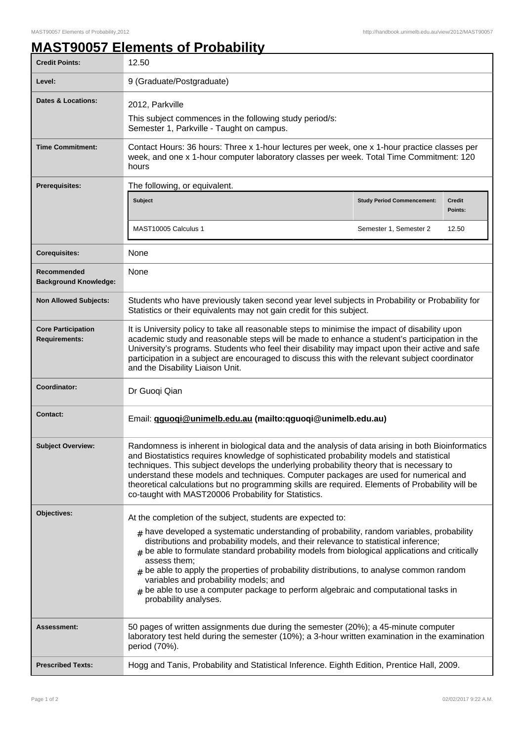## **MAST90057 Elements of Probability**

| <b>Credit Points:</b>                             | 12.50                                                                                                                                                                                                                                                                                                                                                                                                                                                                                                                                                                                                                                 |                                   |                          |
|---------------------------------------------------|---------------------------------------------------------------------------------------------------------------------------------------------------------------------------------------------------------------------------------------------------------------------------------------------------------------------------------------------------------------------------------------------------------------------------------------------------------------------------------------------------------------------------------------------------------------------------------------------------------------------------------------|-----------------------------------|--------------------------|
| Level:                                            | 9 (Graduate/Postgraduate)                                                                                                                                                                                                                                                                                                                                                                                                                                                                                                                                                                                                             |                                   |                          |
| Dates & Locations:                                | 2012, Parkville<br>This subject commences in the following study period/s:<br>Semester 1, Parkville - Taught on campus.                                                                                                                                                                                                                                                                                                                                                                                                                                                                                                               |                                   |                          |
| <b>Time Commitment:</b>                           | Contact Hours: 36 hours: Three x 1-hour lectures per week, one x 1-hour practice classes per<br>week, and one x 1-hour computer laboratory classes per week. Total Time Commitment: 120<br>hours                                                                                                                                                                                                                                                                                                                                                                                                                                      |                                   |                          |
| <b>Prerequisites:</b>                             | The following, or equivalent.                                                                                                                                                                                                                                                                                                                                                                                                                                                                                                                                                                                                         |                                   |                          |
|                                                   | <b>Subject</b>                                                                                                                                                                                                                                                                                                                                                                                                                                                                                                                                                                                                                        | <b>Study Period Commencement:</b> | <b>Credit</b><br>Points: |
|                                                   | MAST10005 Calculus 1                                                                                                                                                                                                                                                                                                                                                                                                                                                                                                                                                                                                                  | Semester 1, Semester 2            | 12.50                    |
| <b>Corequisites:</b>                              | None                                                                                                                                                                                                                                                                                                                                                                                                                                                                                                                                                                                                                                  |                                   |                          |
| Recommended<br><b>Background Knowledge:</b>       | None                                                                                                                                                                                                                                                                                                                                                                                                                                                                                                                                                                                                                                  |                                   |                          |
| <b>Non Allowed Subjects:</b>                      | Students who have previously taken second year level subjects in Probability or Probability for<br>Statistics or their equivalents may not gain credit for this subject.                                                                                                                                                                                                                                                                                                                                                                                                                                                              |                                   |                          |
| <b>Core Participation</b><br><b>Requirements:</b> | It is University policy to take all reasonable steps to minimise the impact of disability upon<br>academic study and reasonable steps will be made to enhance a student's participation in the<br>University's programs. Students who feel their disability may impact upon their active and safe<br>participation in a subject are encouraged to discuss this with the relevant subject coordinator<br>and the Disability Liaison Unit.                                                                                                                                                                                              |                                   |                          |
| Coordinator:                                      | Dr Guoqi Qian                                                                                                                                                                                                                                                                                                                                                                                                                                                                                                                                                                                                                         |                                   |                          |
| <b>Contact:</b>                                   | Email: gguogi@unimelb.edu.au (mailto:qguogi@unimelb.edu.au)                                                                                                                                                                                                                                                                                                                                                                                                                                                                                                                                                                           |                                   |                          |
| <b>Subject Overview:</b>                          | Randomness is inherent in biological data and the analysis of data arising in both Bioinformatics<br>and Biostatistics requires knowledge of sophisticated probability models and statistical<br>techniques. This subject develops the underlying probability theory that is necessary to<br>understand these models and techniques. Computer packages are used for numerical and<br>theoretical calculations but no programming skills are required. Elements of Probability will be<br>co-taught with MAST20006 Probability for Statistics.                                                                                         |                                   |                          |
| Objectives:                                       | At the completion of the subject, students are expected to:<br>$_{\text{\#}}$ have developed a systematic understanding of probability, random variables, probability<br>distributions and probability models, and their relevance to statistical inference;<br>be able to formulate standard probability models from biological applications and critically<br>assess them:<br>$*$ be able to apply the properties of probability distributions, to analyse common random<br>variables and probability models; and<br>$#$ be able to use a computer package to perform algebraic and computational tasks in<br>probability analyses. |                                   |                          |
| <b>Assessment:</b>                                | 50 pages of written assignments due during the semester (20%); a 45-minute computer<br>laboratory test held during the semester (10%); a 3-hour written examination in the examination<br>period (70%).                                                                                                                                                                                                                                                                                                                                                                                                                               |                                   |                          |
| <b>Prescribed Texts:</b>                          | Hogg and Tanis, Probability and Statistical Inference. Eighth Edition, Prentice Hall, 2009.                                                                                                                                                                                                                                                                                                                                                                                                                                                                                                                                           |                                   |                          |